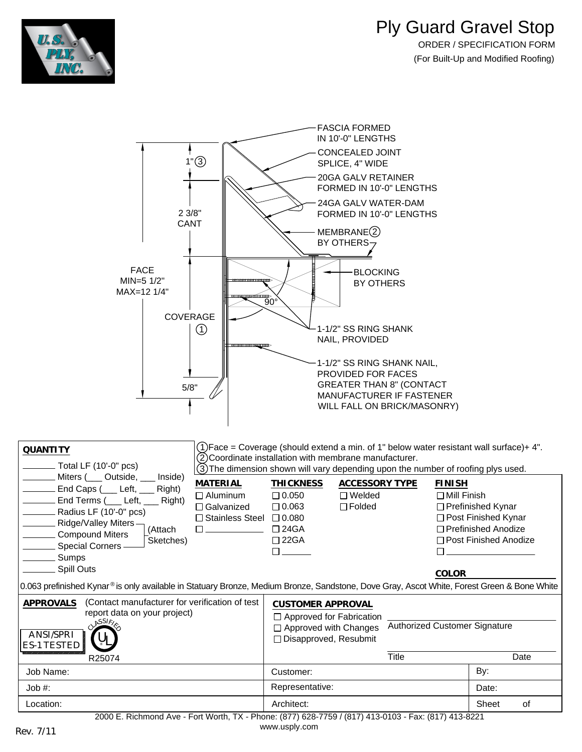



[www.usply.com](http://www.usply.com/) Rev. 7/11